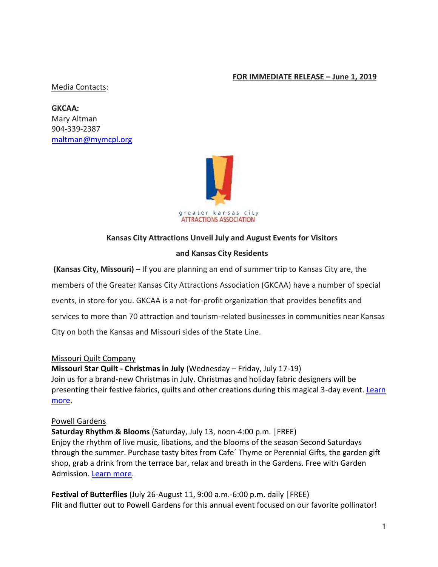### **FOR IMMEDIATE RELEASE – June 1, 2019**

#### Media Contacts:

**GKCAA:**  Mary Altman 904-339-2387 [maltman@mymcpl.org](mailto:maltman@mymcpl.org)



### **Kansas City Attractions Unveil July and August Events for Visitors**

#### **and Kansas City Residents**

**(Kansas City, Missouri) –** If you are planning an end of summer trip to Kansas City are, the members of the Greater Kansas City Attractions Association (GKCAA) have a number of special events, in store for you. GKCAA is a not-for-profit organization that provides benefits and services to more than 70 attraction and tourism-related businesses in communities near Kansas City on both the Kansas and Missouri sides of the State Line.

#### Missouri Quilt Company

**Missouri Star Quilt - Christmas in July** (Wednesday – Friday, July 17-19) Join us for a brand-new Christmas in July. Christmas and holiday fabric designers will be presenting their festive fabrics, quilts and other creations during this magical 3-day event. Learn [more.](https://www.missouriquiltco.com/msqc/events)

#### Powell Gardens

**Saturday Rhythm & Blooms** (Saturday, July 13, noon-4:00 p.m. |FREE) Enjoy the rhythm of live music, libations, and the blooms of the season Second Saturdays through the summer. Purchase tasty bites from Cafe´ Thyme or Perennial Gifts, the garden gift shop, grab a drink from the terrace bar, relax and breath in the Gardens. Free with Garden Admission. [Learn more.](https://powellgardens.org/homepage/events-programs-exhibitions/calendar/)

**Festival of Butterflies** (July 26-August 11, 9:00 a.m.-6:00 p.m. daily |FREE) Flit and flutter out to Powell Gardens for this annual event focused on our favorite pollinator!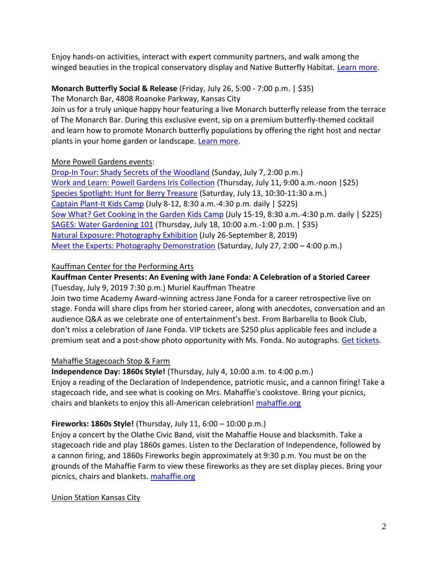Enjoy hands-on activities, interact with expert community partners, and walk among the winged beauties in the tropical conservatory display and Native Butterfly Habitat. [Learn more.](https://powellgardens.org/homepage/events-programs-exhibitions/powell-gardens-festivals/festival-of-butterflies/)

## **Monarch Butterfly Social & Release** (Friday, July 26, 5:00 - 7:00 p.m. | \$35)

The Monarch Bar, 4808 Roanoke Parkway, Kansas City

Join us for a truly unique happy hour featuring a live Monarch butterfly release from the terrace of The Monarch Bar. During this exclusive event, sip on a premium butterfly-themed cocktail and learn how to promote Monarch butterfly populations by offering the right host and nectar plants in your home garden or landscape. [Learn more.](https://25043p.blackbaudhosting.com/25043p/monarch-butterfly-social--release)

## More Powell Gardens events:

[Drop-In Tour: Shady Secrets of the Woodland](https://powellgardens.org/homepage/events-programs-exhibitions/calendar/) (Sunday, July 7, 2:00 p.m.) [Work and Learn: Powell Gardens Iris Collection](https://25043p.blackbaudhosting.com/25043p/work-and-learn-powell-gardens-iris-collection) (Thursday, July 11, 9:00 a.m.-noon |\$25) [Species Spotlight: Hunt for Berry Treasure](https://powellgardens.org/homepage/events-programs-exhibitions/calendar/) (Saturday, July 13, 10:30-11:30 a.m.) [Captain Plant-It](https://powellgardens.org/homepage/events-programs-exhibitions/youth-family/kids-camps/) Kids Camp (July 8-12, 8:30 a.m.-4:30 p.m. daily | \$225) [Sow What? Get Cooking in the Garden](https://powellgardens.org/homepage/events-programs-exhibitions/youth-family/kids-camps/) Kids Camp (July 15-19, 8:30 a.m.-4:30 p.m. daily | \$225) [SAGES: Water Gardening 101](https://25043p.blackbaudhosting.com/25043p/sages-water-gardening-101) (Thursday, July 18, 10:00 a.m.-1:00 p.m. | \$35) [Natural Exposure: Photography Exhibition](https://powellgardens.org/homepage/events-programs-exhibitions/exhibits/visitor-center-gallery-artists/) (July 26-September 8, 2019) [Meet the Experts: Photography Demonstration](https://powellgardens.org/homepage/events-programs-exhibitions/calendar/) (Saturday, July 27, 2:00 – 4:00 p.m.)

# Kauffman Center for the Performing Arts

# **Kauffman Center Presents: An Evening with Jane Fonda: A Celebration of a Storied Career**

(Tuesday, July 9, 2019 7:30 p.m.) Muriel Kauffman Theatre

Join two time Academy Award-winning actress Jane Fonda for a career retrospective live on stage. Fonda will share clips from her storied career, along with anecdotes, conversation and an audience Q&A as we celebrate one of entertainment's best. From Barbarella to Book Club, don't miss a celebration of Jane Fonda. VIP tickets are \$250 plus applicable fees and include a premium seat and a post-show photo opportunity with Ms. Fonda. No autographs. [Get tickets.](https://tickets.kauffmancenter.org/janefonda)

## Mahaffie Stagecoach Stop & Farm

**Independence Day: 1860s Style!** (Thursday, July 4, 10:00 a.m. to 4:00 p.m.) Enjoy a reading of the Declaration of Independence, patriotic music, and a cannon firing! Take a stagecoach ride, and see what is cooking on Mrs. Mahaffie's cookstove. Bring your picnics, chairs and blankets to enjoy this all-American celebration! [mahaffie.org](http://www.mahaffie.org/)

## **Fireworks: 1860s Style!** (Thursday, July 11, 6:00 – 10:00 p.m.)

Enjoy a concert by the Olathe Civic Band, visit the Mahaffie House and blacksmith. Take a stagecoach ride and play 1860s games. Listen to the Declaration of Independence, followed by a cannon firing, and 1860s Fireworks begin approximately at 9:30 p.m. You must be on the grounds of the Mahaffie Farm to view these fireworks as they are set display pieces. Bring your picnics, chairs and blankets. [mahaffie.org](http://www.mahaffie.org/)

## Union Station Kansas City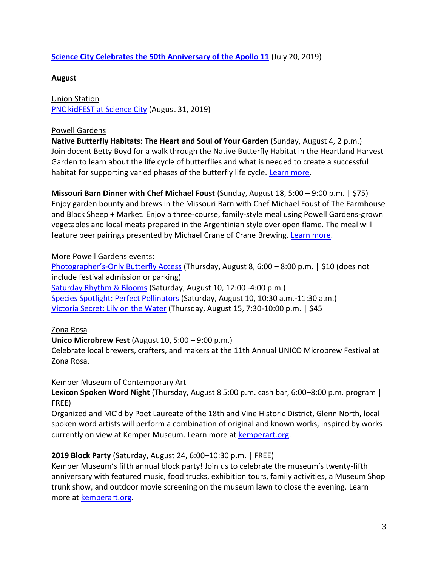### **[Science City Celebrates the 50th Anniversary of the Apollo 11](https://www.unionstation.org/)** (July 20, 2019)

### **August**

Union Station [PNC kidFEST at Science City](https://www.unionstation.org/sciencecity) (August 31, 2019)

### Powell Gardens

**Native Butterfly Habitats: The Heart and Soul of Your Garden** (Sunday, August 4, 2 p.m.) Join docent Betty Boyd for a walk through the Native Butterfly Habitat in the Heartland Harvest Garden to learn about the life cycle of butterflies and what is needed to create a successful habitat for supporting varied phases of the butterfly life cycle. [Learn more.](https://powellgardens.org/homepage/events-programs-exhibitions/calendar/)

**Missouri Barn Dinner with Chef Michael Foust** (Sunday, August 18, 5:00 – 9:00 p.m. | \$75) Enjoy garden bounty and brews in the Missouri Barn with Chef Michael Foust of The Farmhouse and Black Sheep + Market. Enjoy a three-course, family-style meal using Powell Gardens-grown vegetables and local meats prepared in the Argentinian style over open flame. The meal will feature beer pairings presented by Michael Crane of Crane Brewing. [Learn more.](https://25043p.blackbaudhosting.com/25043p/missouri-barn-dinner-with-chef-michael-foust)

### More Powell Gardens events:

Photographer's[-Only Butterfly Access](https://25043p.blackbaudhosting.com/25043p/photographers-only-butterfly-access) (Thursday, August 8, 6:00 – 8:00 p.m. | \$10 (does not include festival admission or parking) [Saturday Rhythm & Blooms](https://powellgardens.org/homepage/events-programs-exhibitions/calendar/) (Saturday, August 10, 12:00 -4:00 p.m.) [Species Spotlight: Perfect Pollinators](https://powellgardens.org/homepage/events-programs-exhibitions/calendar/) (Saturday, August 10, 10:30 a.m.-11:30 a.m.) [Victoria Secret: Lily on the Water](https://25043p.blackbaudhosting.com/25043p/victoria-secret-lily-on-the-water) (Thursday, August 15, 7:30-10:00 p.m. | \$45

### Zona Rosa

### **Unico Microbrew Fest** (August 10, 5:00 – 9:00 p.m.)

Celebrate local brewers, crafters, and makers at the 11th Annual UNICO Microbrew Festival at Zona Rosa.

### Kemper Museum of Contemporary Art

**Lexicon Spoken Word Night** (Thursday, August 8 5:00 p.m. cash bar, 6:00–8:00 p.m. program | FREE)

Organized and MC'd by Poet Laureate of the 18th and Vine Historic District, Glenn North, local spoken word artists will perform a combination of original and known works, inspired by works currently on view at Kemper Museum. Learn more at [kemperart.org.](https://www.kemperart.org/)

### **2019 Block Party** (Saturday, August 24, 6:00–10:30 p.m. | FREE)

Kemper Museum's fifth annual block party! Join us to celebrate the museum's twenty-fifth anniversary with featured music, food trucks, exhibition tours, family activities, a Museum Shop trunk show, and outdoor movie screening on the museum lawn to close the evening. Learn more at **kemperart.org**.